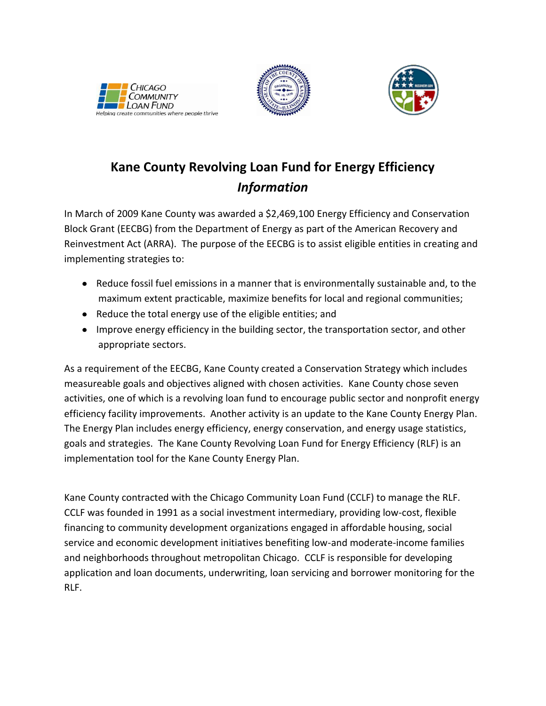





# **Kane County Revolving Loan Fund for Energy Efficiency** *Information*

In March of 2009 Kane County was awarded a \$2,469,100 Energy Efficiency and Conservation Block Grant (EECBG) from the Department of Energy as part of the American Recovery and Reinvestment Act (ARRA). The purpose of the EECBG is to assist eligible entities in creating and implementing strategies to:

- Reduce fossil fuel emissions in a manner that is environmentally sustainable and, to the maximum extent practicable, maximize benefits for local and regional communities;
- Reduce the total energy use of the eligible entities; and
- Improve energy efficiency in the building sector, the transportation sector, and other appropriate sectors.

As a requirement of the EECBG, Kane County created a Conservation Strategy which includes measureable goals and objectives aligned with chosen activities. Kane County chose seven activities, one of which is a revolving loan fund to encourage public sector and nonprofit energy efficiency facility improvements. Another activity is an update to the Kane County Energy Plan. The Energy Plan includes energy efficiency, energy conservation, and energy usage statistics, goals and strategies. The Kane County Revolving Loan Fund for Energy Efficiency (RLF) is an implementation tool for the Kane County Energy Plan.

Kane County contracted with the Chicago Community Loan Fund (CCLF) to manage the RLF. CCLF was founded in 1991 as a social investment intermediary, providing low-cost, flexible financing to community development organizations engaged in affordable housing, social service and economic development initiatives benefiting low-and moderate-income families and neighborhoods throughout metropolitan Chicago. CCLF is responsible for developing application and loan documents, underwriting, loan servicing and borrower monitoring for the RLF.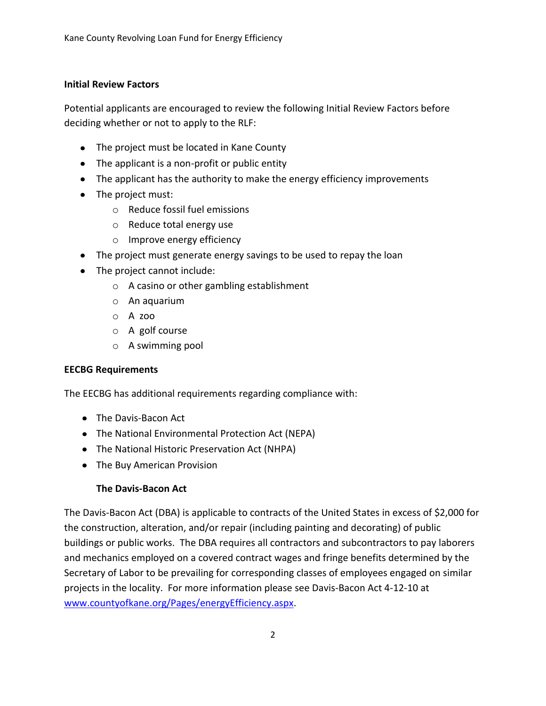## **Initial Review Factors**

Potential applicants are encouraged to review the following Initial Review Factors before deciding whether or not to apply to the RLF:

- The project must be located in Kane County
- The applicant is a non-profit or public entity
- The applicant has the authority to make the energy efficiency improvements
- The project must:
	- o Reduce fossil fuel emissions
	- o Reduce total energy use
	- o Improve energy efficiency
- The project must generate energy savings to be used to repay the loan
- The project cannot include:
	- o A casino or other gambling establishment
	- o An aquarium
	- o A zoo
	- o A golf course
	- o A swimming pool

## **EECBG Requirements**

The EECBG has additional requirements regarding compliance with:

- The Davis-Bacon Act
- The National Environmental Protection Act (NEPA)
- The National Historic Preservation Act (NHPA)
- The Buy American Provision

## **The Davis-Bacon Act**

The Davis-Bacon Act (DBA) is applicable to contracts of the United States in excess of \$2,000 for the construction, alteration, and/or repair (including painting and decorating) of public buildings or public works. The DBA requires all contractors and subcontractors to pay laborers and mechanics employed on a covered contract wages and fringe benefits determined by the Secretary of Labor to be prevailing for corresponding classes of employees engaged on similar projects in the locality. For more information please see Davis-Bacon Act 4-12-10 at [www.countyofkane.org/Pages/energyEfficiency.aspx.](http://www.countyofkane.org/Pages/energyEfficiency.aspx)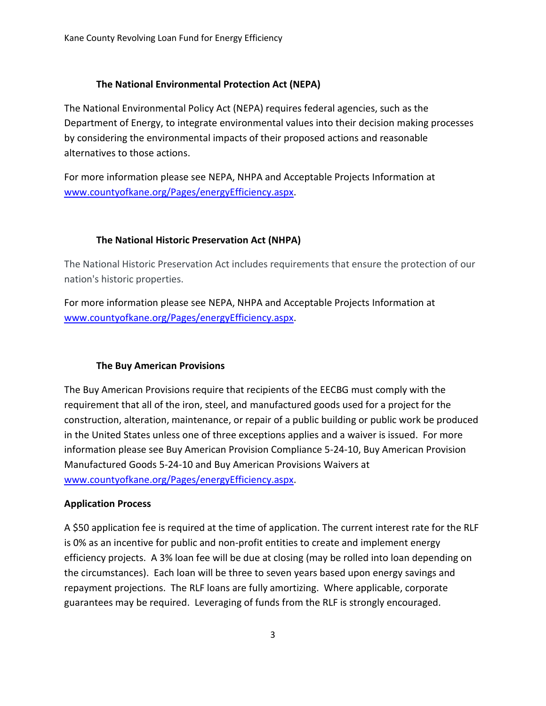#### **The National Environmental Protection Act (NEPA)**

The National Environmental Policy Act (NEPA) requires federal agencies, such as the Department of Energy, to integrate environmental values into their decision making processes by considering the environmental impacts of their proposed actions and reasonable alternatives to those actions.

For more information please see NEPA, NHPA and Acceptable Projects Information at [www.countyofkane.org/Pages/energyEfficiency.aspx.](http://www.countyofkane.org/Pages/energyEfficiency.aspx)

### **The National Historic Preservation Act (NHPA)**

The National Historic Preservation Act includes requirements that ensure the protection of our nation's historic properties.

For more information please see NEPA, NHPA and Acceptable Projects Information at [www.countyofkane.org/Pages/energyEfficiency.aspx.](http://www.countyofkane.org/Pages/energyEfficiency.aspx)

#### **The Buy American Provisions**

The Buy American Provisions require that recipients of the EECBG must comply with the requirement that all of the iron, steel, and manufactured goods used for a project for the construction, alteration, maintenance, or repair of a public building or public work be produced in the United States unless one of three exceptions applies and a waiver is issued. For more information please see Buy American Provision Compliance 5-24-10, Buy American Provision Manufactured Goods 5-24-10 and Buy American Provisions Waivers at [www.countyofkane.org/Pages/energyEfficiency.aspx.](http://www.countyofkane.org/Pages/energyEfficiency.aspx)

#### **Application Process**

A \$50 application fee is required at the time of application. The current interest rate for the RLF is 0% as an incentive for public and non-profit entities to create and implement energy efficiency projects. A 3% loan fee will be due at closing (may be rolled into loan depending on the circumstances). Each loan will be three to seven years based upon energy savings and repayment projections. The RLF loans are fully amortizing. Where applicable, corporate guarantees may be required. Leveraging of funds from the RLF is strongly encouraged.